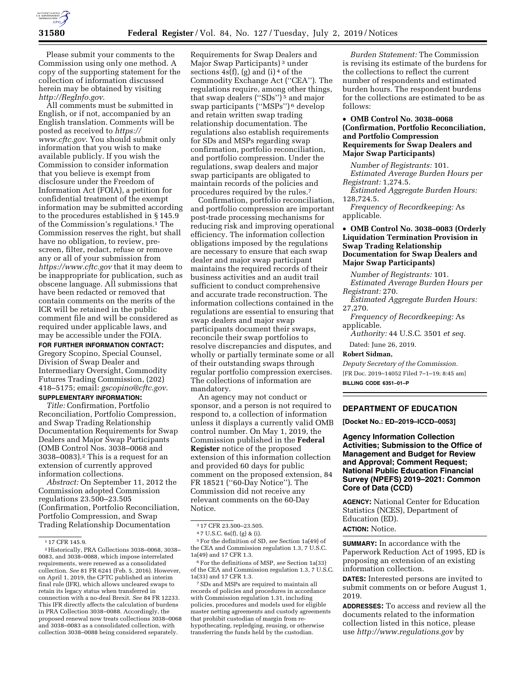

Please submit your comments to the Commission using only one method. A copy of the supporting statement for the collection of information discussed herein may be obtained by visiting *<http://RegInfo.gov>*.

All comments must be submitted in English, or if not, accompanied by an English translation. Comments will be posted as received to *[https://](https://www.cftc.gov) [www.cftc.gov](https://www.cftc.gov)*. You should submit only information that you wish to make available publicly. If you wish the Commission to consider information that you believe is exempt from disclosure under the Freedom of Information Act (FOIA), a petition for confidential treatment of the exempt information may be submitted according to the procedures established in § 145.9 of the Commission's regulations.1 The Commission reserves the right, but shall have no obligation, to review, prescreen, filter, redact, refuse or remove any or all of your submission from *<https://www.cftc.gov>* that it may deem to be inappropriate for publication, such as obscene language. All submissions that have been redacted or removed that contain comments on the merits of the ICR will be retained in the public comment file and will be considered as required under applicable laws, and may be accessible under the FOIA.

**FOR FURTHER INFORMATION CONTACT:**  Gregory Scopino, Special Counsel, Division of Swap Dealer and Intermediary Oversight, Commodity Futures Trading Commission, (202) 418–5175; email: *[gscopino@cftc.gov](mailto:gscopino@cftc.gov)*. **SUPPLEMENTARY INFORMATION:** 

*Title:* Confirmation, Portfolio Reconciliation, Portfolio Compression, and Swap Trading Relationship Documentation Requirements for Swap Dealers and Major Swap Participants (OMB Control Nos. 3038–0068 and 3038–0083).2 This is a request for an extension of currently approved information collections.

*Abstract:* On September 11, 2012 the Commission adopted Commission regulations 23.500–23.505 (Confirmation, Portfolio Reconciliation, Portfolio Compression, and Swap Trading Relationship Documentation

Requirements for Swap Dealers and Major Swap Participants) 3 under sections  $4s(f)$ , (g) and (i)<sup>4</sup> of the Commodity Exchange Act (''CEA''). The regulations require, among other things, that swap dealers ("SDs")<sup>5</sup> and major swap participants (''MSPs'') 6 develop and retain written swap trading relationship documentation. The regulations also establish requirements for SDs and MSPs regarding swap confirmation, portfolio reconciliation, and portfolio compression. Under the regulations, swap dealers and major swap participants are obligated to maintain records of the policies and procedures required by the rules.7

Confirmation, portfolio reconciliation, and portfolio compression are important post-trade processing mechanisms for reducing risk and improving operational efficiency. The information collection obligations imposed by the regulations are necessary to ensure that each swap dealer and major swap participant maintains the required records of their business activities and an audit trail sufficient to conduct comprehensive and accurate trade reconstruction. The information collections contained in the regulations are essential to ensuring that swap dealers and major swap participants document their swaps, reconcile their swap portfolios to resolve discrepancies and disputes, and wholly or partially terminate some or all of their outstanding swaps through regular portfolio compression exercises. The collections of information are mandatory.

An agency may not conduct or sponsor, and a person is not required to respond to, a collection of information unless it displays a currently valid OMB control number. On May 1, 2019, the Commission published in the **Federal Register** notice of the proposed extension of this information collection and provided 60 days for public comment on the proposed extension, 84 FR 18521 (''60-Day Notice''). The Commission did not receive any relevant comments on the 60-Day Notice.

5For the definition of SD, *see* Section 1a(49) of the CEA and Commission regulation 1.3, 7 U.S.C. 1a(49) and 17 CFR 1.3.

6For the definitions of MSP, *see* Section 1a(33) of the CEA and Commission regulation 1.3, 7 U.S.C. 1a(33) and 17 CFR 1.3.

7SDs and MSPs are required to maintain all records of policies and procedures in accordance with Commission regulation 1.31, including policies, procedures and models used for eligible master netting agreements and custody agreements that prohibit custodian of margin from rehypothecating, repledging, reusing, or otherwise transferring the funds held by the custodian.

*Burden Statement:* The Commission is revising its estimate of the burdens for the collections to reflect the current number of respondents and estimated burden hours. The respondent burdens for the collections are estimated to be as follows:

# • **OMB Control No. 3038–0068 (Confirmation, Portfolio Reconciliation, and Portfolio Compression Requirements for Swap Dealers and Major Swap Participants)**

*Number of Registrants:* 101. *Estimated Average Burden Hours per Registrant:* 1,274.5.

*Estimated Aggregate Burden Hours:*  128,724.5.

*Frequency of Recordkeeping:* As applicable.

## • **OMB Control No. 3038–0083 (Orderly Liquidation Termination Provision in Swap Trading Relationship Documentation for Swap Dealers and Major Swap Participants)**

*Number of Registrants:* 101. *Estimated Average Burden Hours per Registrant:* 270.

*Estimated Aggregate Burden Hours:*  27,270.

*Frequency of Recordkeeping:* As applicable.

*Authority:* 44 U.S.C. 3501 *et seq.* 

Dated: June 26, 2019.

# **Robert Sidman,**

*Deputy Secretary of the Commission.*  [FR Doc. 2019–14052 Filed 7–1–19; 8:45 am] **BILLING CODE 6351–01–P** 

# **DEPARTMENT OF EDUCATION**

**[Docket No.: ED–2019–ICCD–0053]** 

**Agency Information Collection Activities; Submission to the Office of Management and Budget for Review and Approval; Comment Request; National Public Education Financial Survey (NPEFS) 2019–2021: Common Core of Data (CCD)** 

**AGENCY:** National Center for Education Statistics (NCES), Department of Education (ED). **ACTION:** Notice.

**SUMMARY:** In accordance with the Paperwork Reduction Act of 1995, ED is proposing an extension of an existing information collection.

**DATES:** Interested persons are invited to submit comments on or before August 1, 2019.

**ADDRESSES:** To access and review all the documents related to the information collection listed in this notice, please use *<http://www.regulations.gov>*by

<sup>1</sup> 17 CFR 145.9.

<sup>2</sup>Historically, PRA Collections 3038–0068, 3038– 0083, and 3038–0088, which impose interrelated requirements, were renewed as a consolidated collection. *See* 81 FR 6241 (Feb. 5, 2016). However, on April 1, 2019, the CFTC published an interim final rule (IFR), which allows uncleared swaps to retain its legacy status when transferred in connection with a no-deal Brexit. *See* 84 FR 12233. This IFR directly affects the calculation of burdens in PRA Collection 3038–0088. Accordingly, the proposed renewal now treats collections 3038–0068 and 3038–0083 as a consolidated collection, with collection 3038–0088 being considered separately.

<sup>3</sup> 17 CFR 23.500–23.505.

<sup>4</sup> 7 U.S.C. 6s(f), (g) & (i).